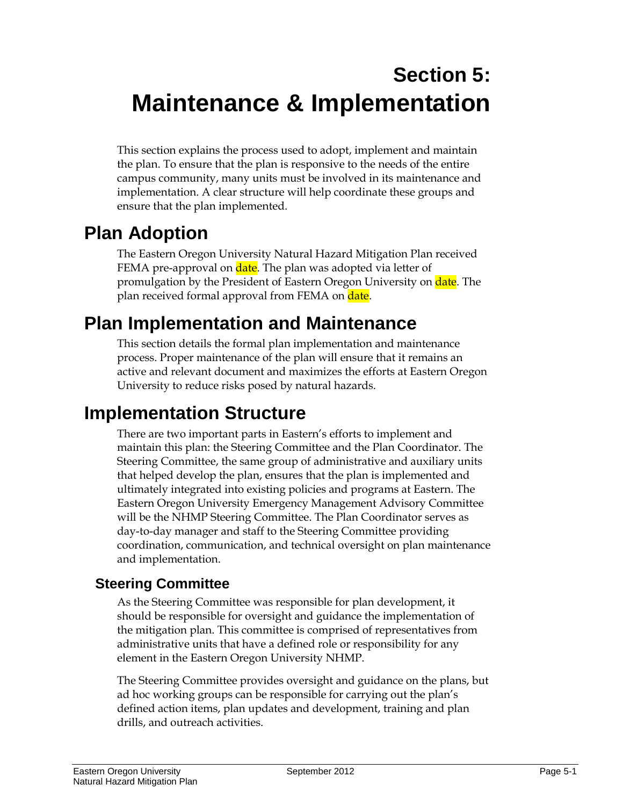# **Section 5: Maintenance & Implementation**

This section explains the process used to adopt, implement and maintain the plan. To ensure that the plan is responsive to the needs of the entire campus community, many units must be involved in its maintenance and implementation. A clear structure will help coordinate these groups and ensure that the plan implemented.

# **Plan Adoption**

The Eastern Oregon University Natural Hazard Mitigation Plan received FEMA pre-approval on date. The plan was adopted via letter of promulgation by the President of Eastern Oregon University on **date**. The plan received formal approval from FEMA on date.

## **Plan Implementation and Maintenance**

This section details the formal plan implementation and maintenance process. Proper maintenance of the plan will ensure that it remains an active and relevant document and maximizes the efforts at Eastern Oregon University to reduce risks posed by natural hazards.

## **Implementation Structure**

There are two important parts in Eastern's efforts to implement and maintain this plan: the Steering Committee and the Plan Coordinator. The Steering Committee, the same group of administrative and auxiliary units that helped develop the plan, ensures that the plan is implemented and ultimately integrated into existing policies and programs at Eastern. The Eastern Oregon University Emergency Management Advisory Committee will be the NHMP Steering Committee. The Plan Coordinator serves as day-to-day manager and staff to the Steering Committee providing coordination, communication, and technical oversight on plan maintenance and implementation.

## **Steering Committee**

As the Steering Committee was responsible for plan development, it should be responsible for oversight and guidance the implementation of the mitigation plan. This committee is comprised of representatives from administrative units that have a defined role or responsibility for any element in the Eastern Oregon University NHMP.

The Steering Committee provides oversight and guidance on the plans, but ad hoc working groups can be responsible for carrying out the plan's defined action items, plan updates and development, training and plan drills, and outreach activities.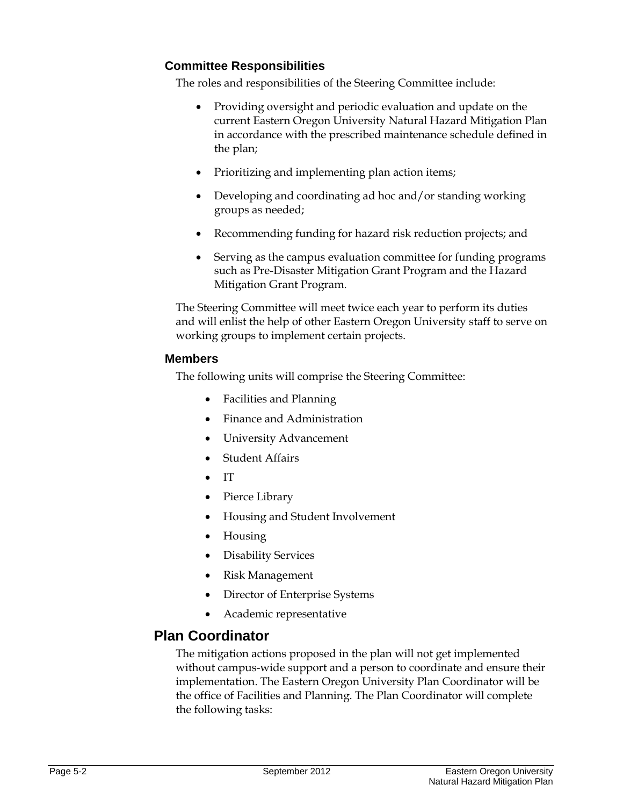#### **Committee Responsibilities**

The roles and responsibilities of the Steering Committee include:

- Providing oversight and periodic evaluation and update on the current Eastern Oregon University Natural Hazard Mitigation Plan in accordance with the prescribed maintenance schedule defined in the plan;
- Prioritizing and implementing plan action items;
- Developing and coordinating ad hoc and/or standing working groups as needed;
- Recommending funding for hazard risk reduction projects; and
- Serving as the campus evaluation committee for funding programs such as Pre-Disaster Mitigation Grant Program and the Hazard Mitigation Grant Program.

The Steering Committee will meet twice each year to perform its duties and will enlist the help of other Eastern Oregon University staff to serve on working groups to implement certain projects.

#### **Members**

The following units will comprise the Steering Committee:

- Facilities and Planning
- Finance and Administration
- University Advancement
- Student Affairs
- IT
- Pierce Library
- Housing and Student Involvement
- Housing
- Disability Services
- Risk Management
- Director of Enterprise Systems
- Academic representative

#### **Plan Coordinator**

The mitigation actions proposed in the plan will not get implemented without campus-wide support and a person to coordinate and ensure their implementation. The Eastern Oregon University Plan Coordinator will be the office of Facilities and Planning. The Plan Coordinator will complete the following tasks: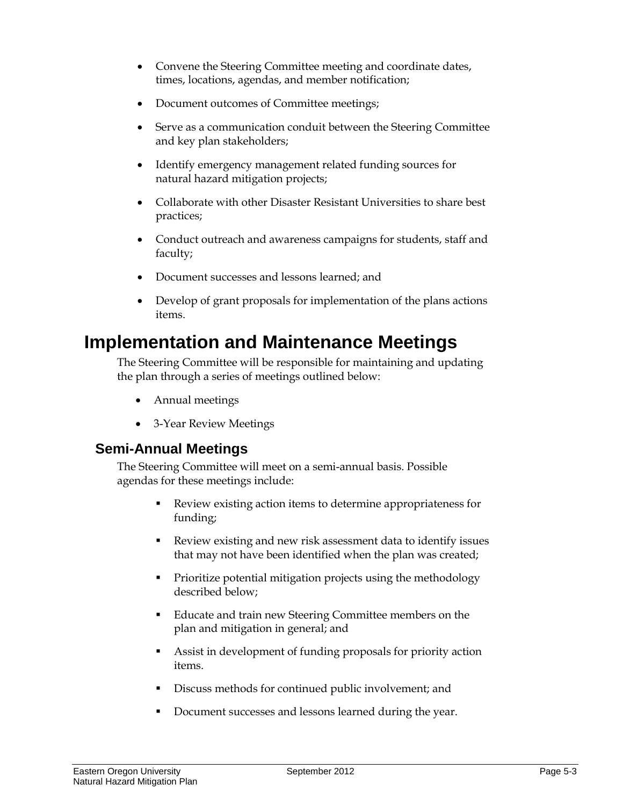- Convene the Steering Committee meeting and coordinate dates, times, locations, agendas, and member notification;
- Document outcomes of Committee meetings;
- Serve as a communication conduit between the Steering Committee and key plan stakeholders;
- Identify emergency management related funding sources for natural hazard mitigation projects;
- Collaborate with other Disaster Resistant Universities to share best practices;
- Conduct outreach and awareness campaigns for students, staff and faculty;
- Document successes and lessons learned; and
- Develop of grant proposals for implementation of the plans actions items.

## **Implementation and Maintenance Meetings**

The Steering Committee will be responsible for maintaining and updating the plan through a series of meetings outlined below:

- Annual meetings
- 3-Year Review Meetings

### **Semi-Annual Meetings**

The Steering Committee will meet on a semi-annual basis. Possible agendas for these meetings include:

- Review existing action items to determine appropriateness for funding;
- Review existing and new risk assessment data to identify issues that may not have been identified when the plan was created;
- Prioritize potential mitigation projects using the methodology described below;
- Educate and train new Steering Committee members on the plan and mitigation in general; and
- Assist in development of funding proposals for priority action items.
- Discuss methods for continued public involvement; and
- Document successes and lessons learned during the year.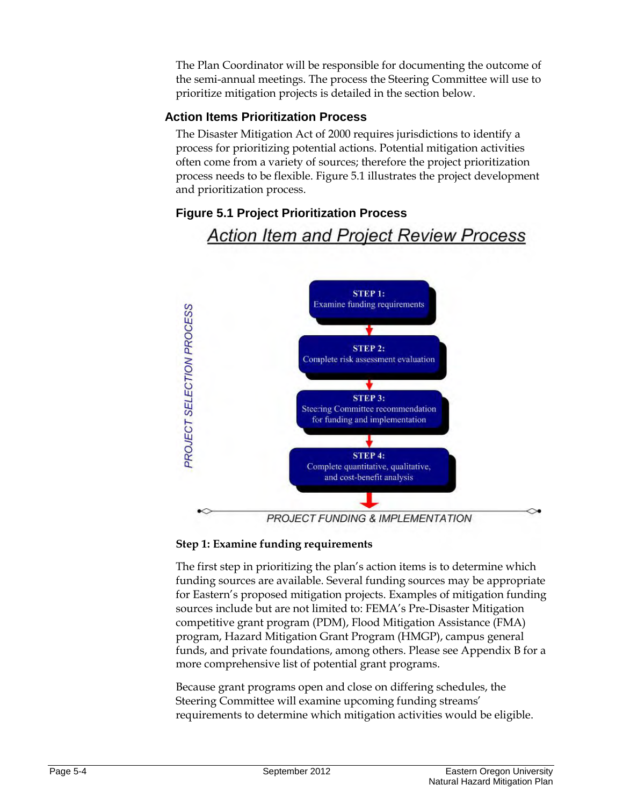The Plan Coordinator will be responsible for documenting the outcome of the semi-annual meetings. The process the Steering Committee will use to prioritize mitigation projects is detailed in the section below.

#### **Action Items Prioritization Process**

The Disaster Mitigation Act of 2000 requires jurisdictions to identify a process for prioritizing potential actions. Potential mitigation activities often come from a variety of sources; therefore the project prioritization process needs to be flexible. Figure 5.1 illustrates the project development and prioritization process.

# **Action Item and Project Review Process**  $STEP$  1: **Examine funding requirements PROJECT SELECTION PROCESS STEP 2:** Complete risk assessment evaluation **STEP 3:** Steering Committee recommendation for funding and implementation **STEP 4:** Complete quantitative, qualitative, and cost-benefit analysis

#### **Figure 5.1 Project Prioritization Process**

PROJECT FUNDING & IMPLEMENTATION

#### **Step 1: Examine funding requirements**

The first step in prioritizing the plan's action items is to determine which funding sources are available. Several funding sources may be appropriate for Eastern's proposed mitigation projects. Examples of mitigation funding sources include but are not limited to: FEMA's Pre-Disaster Mitigation competitive grant program (PDM), Flood Mitigation Assistance (FMA) program, Hazard Mitigation Grant Program (HMGP), campus general funds, and private foundations, among others. Please see Appendix B for a more comprehensive list of potential grant programs.

Because grant programs open and close on differing schedules, the Steering Committee will examine upcoming funding streams' requirements to determine which mitigation activities would be eligible.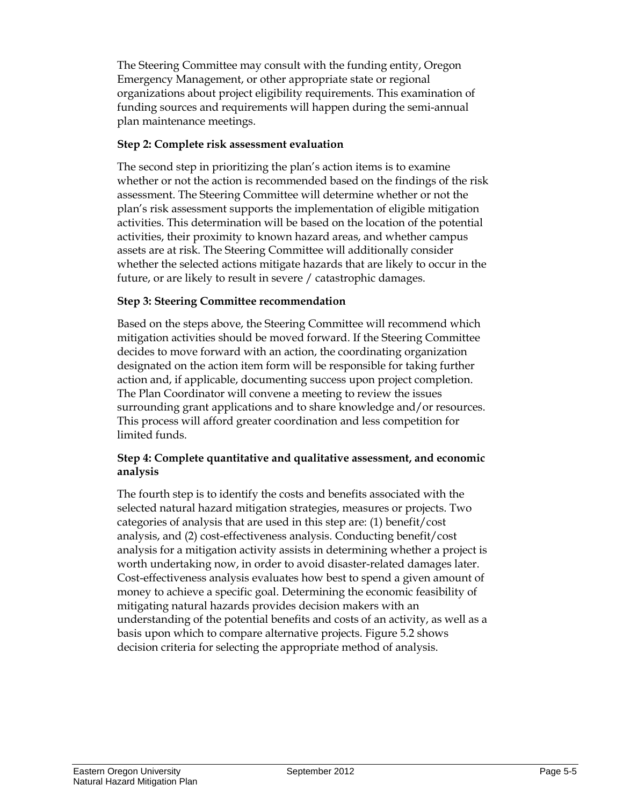The Steering Committee may consult with the funding entity, Oregon Emergency Management, or other appropriate state or regional organizations about project eligibility requirements. This examination of funding sources and requirements will happen during the semi-annual plan maintenance meetings.

#### **Step 2: Complete risk assessment evaluation**

The second step in prioritizing the plan's action items is to examine whether or not the action is recommended based on the findings of the risk assessment. The Steering Committee will determine whether or not the plan's risk assessment supports the implementation of eligible mitigation activities. This determination will be based on the location of the potential activities, their proximity to known hazard areas, and whether campus assets are at risk. The Steering Committee will additionally consider whether the selected actions mitigate hazards that are likely to occur in the future, or are likely to result in severe / catastrophic damages.

#### **Step 3: Steering Committee recommendation**

Based on the steps above, the Steering Committee will recommend which mitigation activities should be moved forward. If the Steering Committee decides to move forward with an action, the coordinating organization designated on the action item form will be responsible for taking further action and, if applicable, documenting success upon project completion. The Plan Coordinator will convene a meeting to review the issues surrounding grant applications and to share knowledge and/or resources. This process will afford greater coordination and less competition for limited funds.

#### **Step 4: Complete quantitative and qualitative assessment, and economic analysis**

The fourth step is to identify the costs and benefits associated with the selected natural hazard mitigation strategies, measures or projects. Two categories of analysis that are used in this step are: (1) benefit/cost analysis, and (2) cost-effectiveness analysis. Conducting benefit/cost analysis for a mitigation activity assists in determining whether a project is worth undertaking now, in order to avoid disaster-related damages later. Cost-effectiveness analysis evaluates how best to spend a given amount of money to achieve a specific goal. Determining the economic feasibility of mitigating natural hazards provides decision makers with an understanding of the potential benefits and costs of an activity, as well as a basis upon which to compare alternative projects. Figure 5.2 shows decision criteria for selecting the appropriate method of analysis.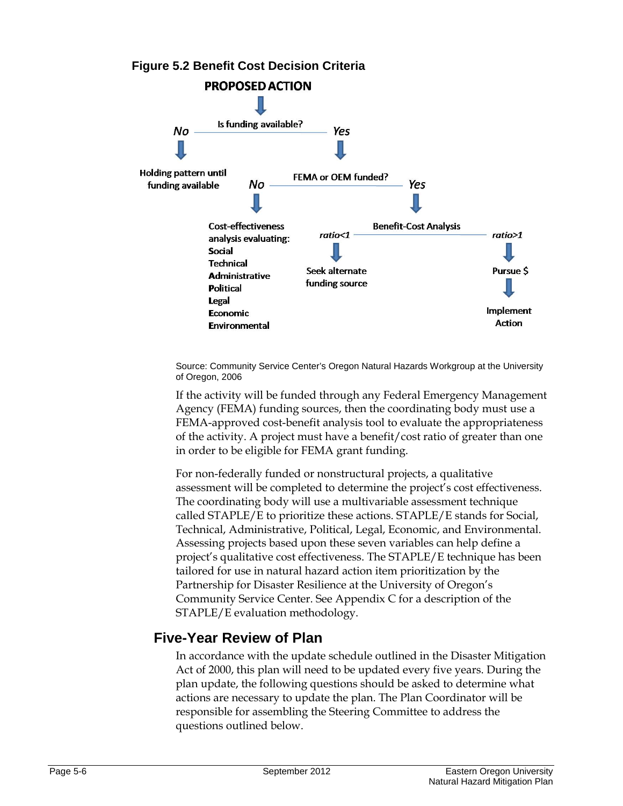

Source: Community Service Center's Oregon Natural Hazards Workgroup at the University of Oregon, 2006

If the activity will be funded through any Federal Emergency Management Agency (FEMA) funding sources, then the coordinating body must use a FEMA-approved cost-benefit analysis tool to evaluate the appropriateness of the activity. A project must have a benefit/cost ratio of greater than one in order to be eligible for FEMA grant funding.

For non-federally funded or nonstructural projects, a qualitative assessment will be completed to determine the project's cost effectiveness. The coordinating body will use a multivariable assessment technique called STAPLE/E to prioritize these actions. STAPLE/E stands for Social, Technical, Administrative, Political, Legal, Economic, and Environmental. Assessing projects based upon these seven variables can help define a project's qualitative cost effectiveness. The STAPLE/E technique has been tailored for use in natural hazard action item prioritization by the Partnership for Disaster Resilience at the University of Oregon's Community Service Center. See Appendix C for a description of the STAPLE/E evaluation methodology.

### **Five-Year Review of Plan**

In accordance with the update schedule outlined in the Disaster Mitigation Act of 2000, this plan will need to be updated every five years. During the plan update, the following questions should be asked to determine what actions are necessary to update the plan. The Plan Coordinator will be responsible for assembling the Steering Committee to address the questions outlined below.